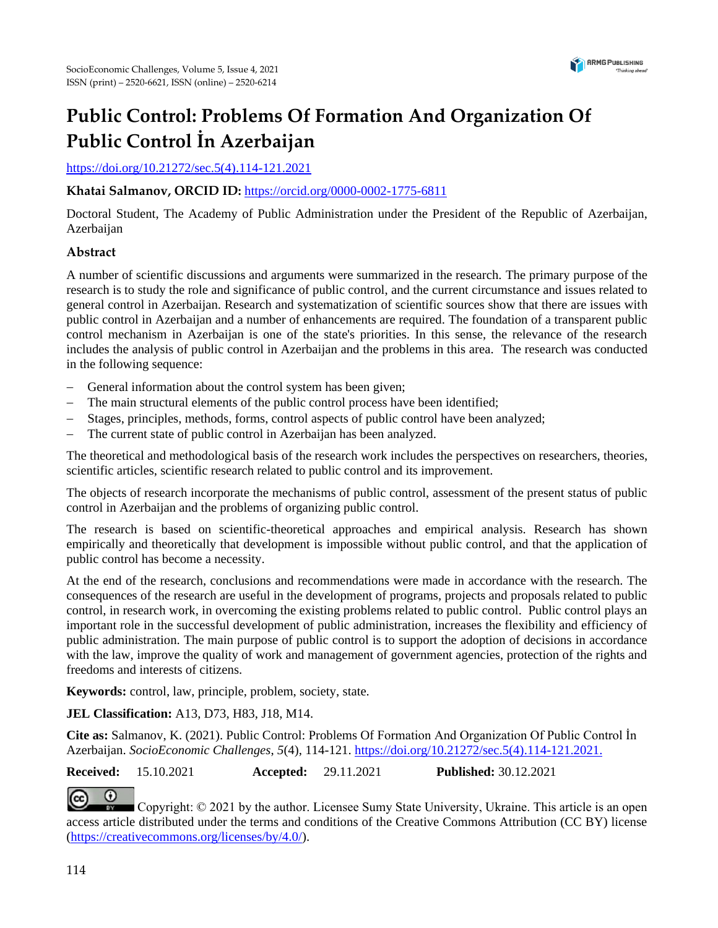

# **Public Control: Problems Of Formation And Organization Of Public Control İn Azerbaijan**

[https://doi.org/10.21272/sec.5\(4\).](https://doi.org/10.21272/sec.5(4))114-121.2021

# **Khatai Salmanov, ORCID ID:** <https://orcid.org/0000-0002-1775-6811>

Doctoral Student, The Academy of Public Administration under the President of the Republic of Azerbaijan, Azerbaijan

# **Abstract**

A number of scientific discussions and arguments were summarized in the research. The primary purpose of the research is to study the role and significance of public control, and the current circumstance and issues related to general control in Azerbaijan. Research and systematization of scientific sources show that there are issues with public control in Azerbaijan and a number of enhancements are required. The foundation of a transparent public control mechanism in Azerbaijan is one of the state's priorities. In this sense, the relevance of the research includes the analysis of public control in Azerbaijan and the problems in this area. The research was conducted in the following sequence:

- − General information about the control system has been given;
- − The main structural elements of the public control process have been identified;
- Stages, principles, methods, forms, control aspects of public control have been analyzed;
- − The current state of public control in Azerbaijan has been analyzed.

The theoretical and methodological basis of the research work includes the perspectives on researchers, theories, scientific articles, scientific research related to public control and its improvement.

The objects of research incorporate the mechanisms of public control, assessment of the present status of public control in Azerbaijan and the problems of organizing public control.

The research is based on scientific-theoretical approaches and empirical analysis. Research has shown empirically and theoretically that development is impossible without public control, and that the application of public control has become a necessity.

At the end of the research, conclusions and recommendations were made in accordance with the research. The consequences of the research are useful in the development of programs, projects and proposals related to public control, in research work, in overcoming the existing problems related to public control. Public control plays an important role in the successful development of public administration, increases the flexibility and efficiency of public administration. The main purpose of public control is to support the adoption of decisions in accordance with the law, improve the quality of work and management of government agencies, protection of the rights and freedoms and interests of citizens.

**Keywords:** control, law, principle, problem, society, state.

# **JEL Classification:** A13, D73, H83, J18, M14.

**Cite as:** Salmanov, K. (2021). Public Control: Problems Of Formation And Organization Of Public Control İn Azerbaijan. *SocioEconomic Challenges*, *5*(4), 114-121. [https://doi.org/10.21272/sec.5\(4\).](https://doi.org/10.21272/sec.5(4))114-121.2021.

**Received:** 15.10.2021 **Accepted:** 29.11.2021 **Published:** 30.12.2021

 $\odot$ 

Copyright:  $\odot$  2021 by the author. Licensee Sumy State University, Ukraine. This article is an open access article distributed under the terms and conditions of the Creative Commons Attribution (CC BY) license [\(https://creativecommons.org/licenses/by/4.0/\)](https://creativecommons.org/licenses/by/4.0/).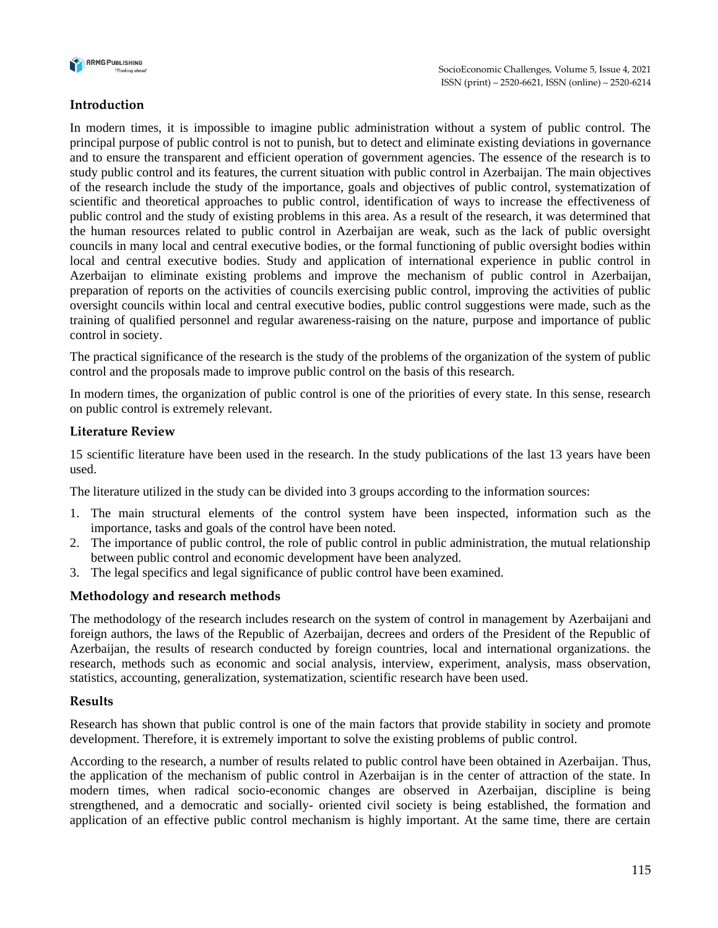

## **Introduction**

In modern times, it is impossible to imagine public administration without a system of public control. The principal purpose of public control is not to punish, but to detect and eliminate existing deviations in governance and to ensure the transparent and efficient operation of government agencies. The essence of the research is to study public control and its features, the current situation with public control in Azerbaijan. The main objectives of the research include the study of the importance, goals and objectives of public control, systematization of scientific and theoretical approaches to public control, identification of ways to increase the effectiveness of public control and the study of existing problems in this area. As a result of the research, it was determined that the human resources related to public control in Azerbaijan are weak, such as the lack of public oversight councils in many local and central executive bodies, or the formal functioning of public oversight bodies within local and central executive bodies. Study and application of international experience in public control in Azerbaijan to eliminate existing problems and improve the mechanism of public control in Azerbaijan, preparation of reports on the activities of councils exercising public control, improving the activities of public oversight councils within local and central executive bodies, public control suggestions were made, such as the training of qualified personnel and regular awareness-raising on the nature, purpose and importance of public control in society.

The practical significance of the research is the study of the problems of the organization of the system of public control and the proposals made to improve public control on the basis of this research.

In modern times, the organization of public control is one of the priorities of every state. In this sense, research on public control is extremely relevant.

#### **Literature Review**

15 scientific literature have been used in the research. In the study publications of the last 13 years have been used.

The literature utilized in the study can be divided into 3 groups according to the information sources:

- 1. The main structural elements of the control system have been inspected, information such as the importance, tasks and goals of the control have been noted.
- 2. The importance of public control, the role of public control in public administration, the mutual relationship between public control and economic development have been analyzed.
- 3. The legal specifics and legal significance of public control have been examined.

#### **Methodology and research methods**

The methodology of the research includes research on the system of control in management by Azerbaijani and foreign authors, the laws of the Republic of Azerbaijan, decrees and orders of the President of the Republic of Azerbaijan, the results of research conducted by foreign countries, local and international organizations. the research, methods such as economic and social analysis, interview, experiment, analysis, mass observation, statistics, accounting, generalization, systematization, scientific research have been used.

#### **Results**

Research has shown that public control is one of the main factors that provide stability in society and promote development. Therefore, it is extremely important to solve the existing problems of public control.

According to the research, a number of results related to public control have been obtained in Azerbaijan. Thus, the application of the mechanism of public control in Azerbaijan is in the center of attraction of the state. In modern times, when radical socio-economic changes are observed in Azerbaijan, discipline is being strengthened, and a democratic and socially- oriented civil society is being established, the formation and application of an effective public control mechanism is highly important. At the same time, there are certain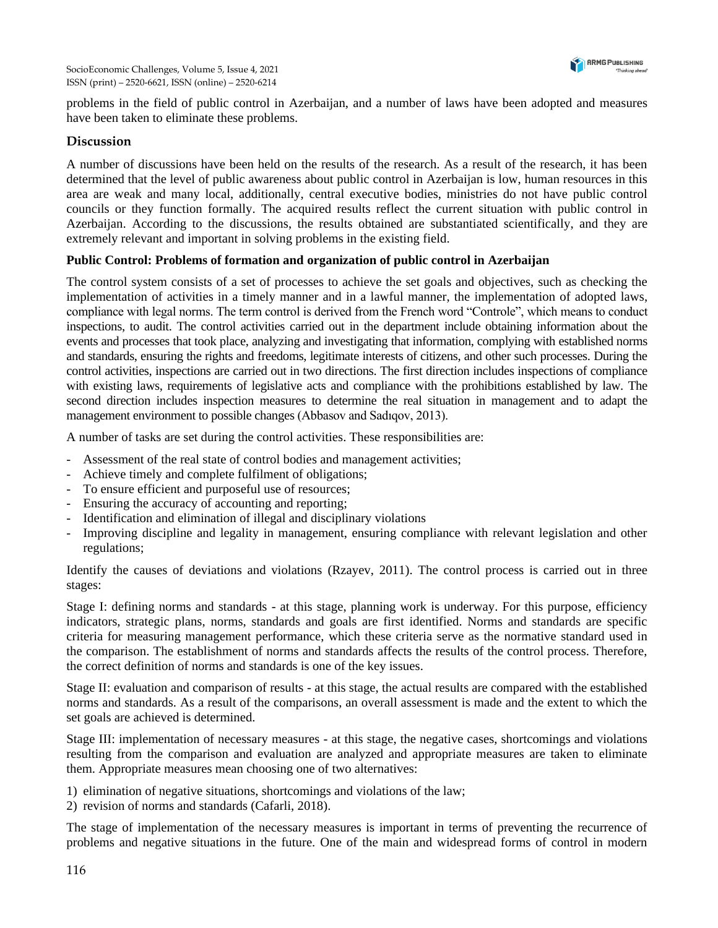

problems in the field of public control in Azerbaijan, and a number of laws have been adopted and measures have been taken to eliminate these problems.

## **Discussion**

A number of discussions have been held on the results of the research. As a result of the research, it has been determined that the level of public awareness about public control in Azerbaijan is low, human resources in this area are weak and many local, additionally, central executive bodies, ministries do not have public control councils or they function formally. The acquired results reflect the current situation with public control in Azerbaijan. According to the discussions, the results obtained are substantiated scientifically, and they are extremely relevant and important in solving problems in the existing field.

## **Public Control: Problems of formation and organization of public control in Azerbaijan**

The control system consists of a set of processes to achieve the set goals and objectives, such as checking the implementation of activities in a timely manner and in a lawful manner, the implementation of adopted laws, compliance with legal norms. The term control is derived from the French word "Controle", which means to conduct inspections, to audit. The control activities carried out in the department include obtaining information about the events and processes that took place, analyzing and investigating that information, complying with established norms and standards, ensuring the rights and freedoms, legitimate interests of citizens, and other such processes. During the control activities, inspections are carried out in two directions. The first direction includes inspections of compliance with existing laws, requirements of legislative acts and compliance with the prohibitions established by law. The second direction includes inspection measures to determine the real situation in management and to adapt the management environment to possible changes (Abbasov and Sadıqov, 2013).

A number of tasks are set during the control activities. These responsibilities are:

- Assessment of the real state of control bodies and management activities;
- Achieve timely and complete fulfilment of obligations;
- To ensure efficient and purposeful use of resources;
- Ensuring the accuracy of accounting and reporting;
- Identification and elimination of illegal and disciplinary violations
- Improving discipline and legality in management, ensuring compliance with relevant legislation and other regulations;

Identify the causes of deviations and violations (Rzayev, 2011). The control process is carried out in three stages:

Stage I: defining norms and standards - at this stage, planning work is underway. For this purpose, efficiency indicators, strategic plans, norms, standards and goals are first identified. Norms and standards are specific criteria for measuring management performance, which these criteria serve as the normative standard used in the comparison. The establishment of norms and standards affects the results of the control process. Therefore, the correct definition of norms and standards is one of the key issues.

Stage II: evaluation and comparison of results - at this stage, the actual results are compared with the established norms and standards. As a result of the comparisons, an overall assessment is made and the extent to which the set goals are achieved is determined.

Stage III: implementation of necessary measures - at this stage, the negative cases, shortcomings and violations resulting from the comparison and evaluation are analyzed and appropriate measures are taken to eliminate them. Appropriate measures mean choosing one of two alternatives:

1) elimination of negative situations, shortcomings and violations of the law;

2) revision of norms and standards (Cafarli, 2018).

The stage of implementation of the necessary measures is important in terms of preventing the recurrence of problems and negative situations in the future. One of the main and widespread forms of control in modern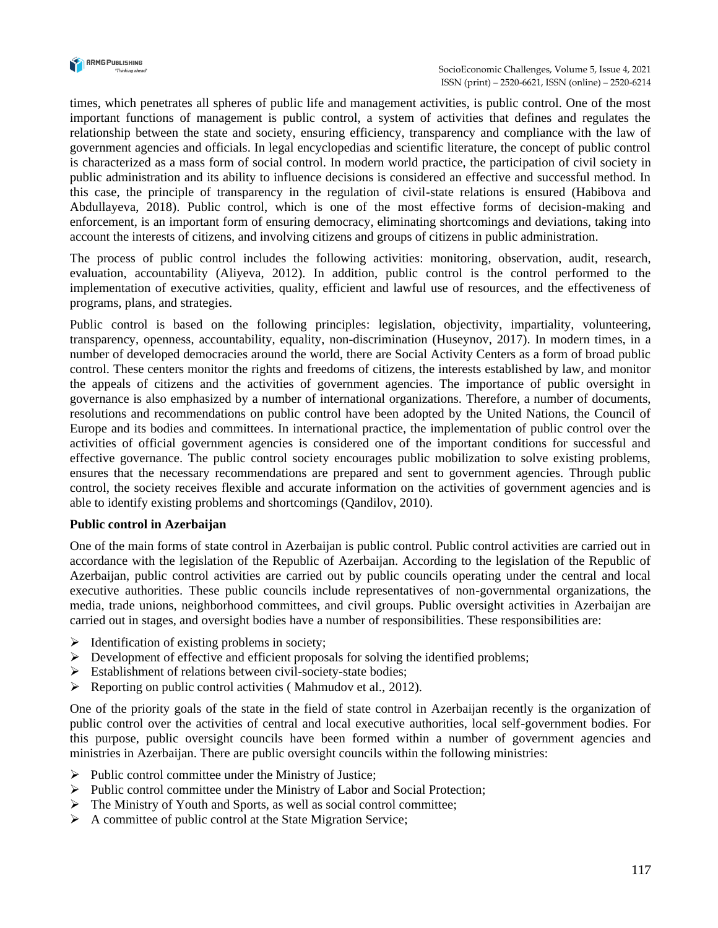

times, which penetrates all spheres of public life and management activities, is public control. One of the most important functions of management is public control, a system of activities that defines and regulates the relationship between the state and society, ensuring efficiency, transparency and compliance with the law of government agencies and officials. In legal encyclopedias and scientific literature, the concept of public control is characterized as a mass form of social control. In modern world practice, the participation of civil society in public administration and its ability to influence decisions is considered an effective and successful method. In this case, the principle of transparency in the regulation of civil-state relations is ensured (Habibova and Abdullayeva, 2018). Public control, which is one of the most effective forms of decision-making and enforcement, is an important form of ensuring democracy, eliminating shortcomings and deviations, taking into account the interests of citizens, and involving citizens and groups of citizens in public administration.

The process of public control includes the following activities: monitoring, observation, audit, research, evaluation, accountability (Aliyeva, 2012). In addition, public control is the control performed to the implementation of executive activities, quality, efficient and lawful use of resources, and the effectiveness of programs, plans, and strategies.

Public control is based on the following principles: legislation, objectivity, impartiality, volunteering, transparency, openness, accountability, equality, non-discrimination (Huseynov, 2017). In modern times, in a number of developed democracies around the world, there are Social Activity Centers as a form of broad public control. These centers monitor the rights and freedoms of citizens, the interests established by law, and monitor the appeals of citizens and the activities of government agencies. The importance of public oversight in governance is also emphasized by a number of international organizations. Therefore, a number of documents, resolutions and recommendations on public control have been adopted by the United Nations, the Council of Europe and its bodies and committees. In international practice, the implementation of public control over the activities of official government agencies is considered one of the important conditions for successful and effective governance. The public control society encourages public mobilization to solve existing problems, ensures that the necessary recommendations are prepared and sent to government agencies. Through public control, the society receives flexible and accurate information on the activities of government agencies and is able to identify existing problems and shortcomings (Qandilov, 2010).

#### **Public control in Azerbaijan**

One of the main forms of state control in Azerbaijan is public control. Public control activities are carried out in accordance with the legislation of the Republic of Azerbaijan. According to the legislation of the Republic of Azerbaijan, public control activities are carried out by public councils operating under the central and local executive authorities. These public councils include representatives of non-governmental organizations, the media, trade unions, neighborhood committees, and civil groups. Public oversight activities in Azerbaijan are carried out in stages, and oversight bodies have a number of responsibilities. These responsibilities are:

- $\triangleright$  Identification of existing problems in society;
- $\triangleright$  Development of effective and efficient proposals for solving the identified problems;
- ➢ Establishment of relations between civil-society-state bodies;
- $\triangleright$  Reporting on public control activities (Mahmudov et al., 2012).

One of the priority goals of the state in the field of state control in Azerbaijan recently is the organization of public control over the activities of central and local executive authorities, local self-government bodies. For this purpose, public oversight councils have been formed within a number of government agencies and ministries in Azerbaijan. There are public oversight councils within the following ministries:

- $\triangleright$  Public control committee under the Ministry of Justice;
- ➢ Public control committee under the Ministry of Labor and Social Protection;
- ➢ The Ministry of Youth and Sports, as well as social control committee;
- $\triangleright$  A committee of public control at the State Migration Service;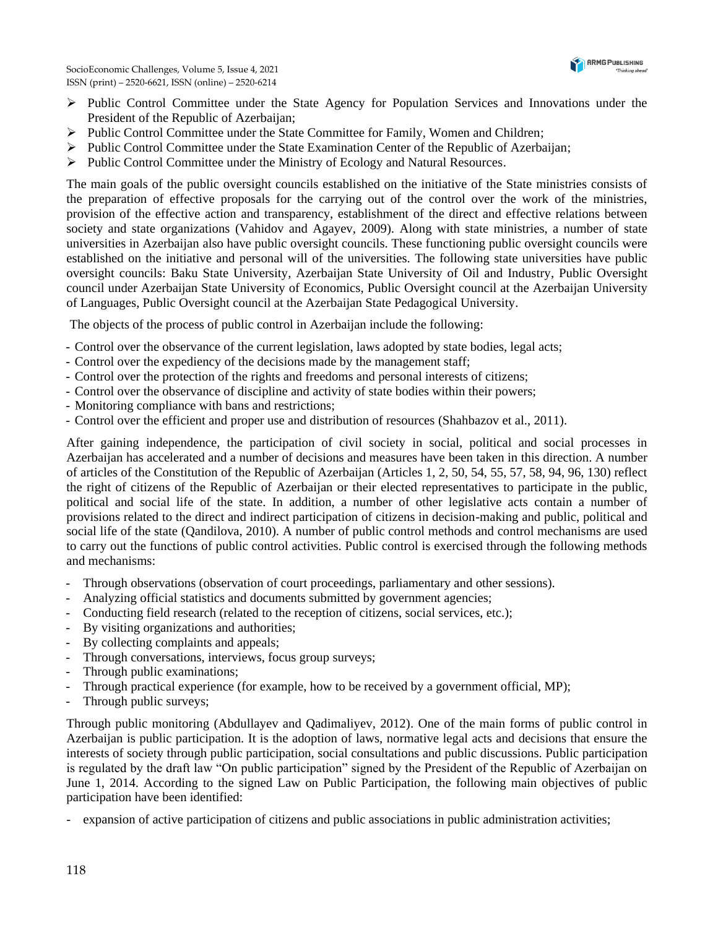

- ➢ Public Control Committee under the State Agency for Population Services and Innovations under the President of the Republic of Azerbaijan;
- ➢ Public Control Committee under the State Committee for Family, Women and Children;
- $\triangleright$  Public Control Committee under the State Examination Center of the Republic of Azerbaijan;
- ➢ Public Control Committee under the Ministry of Ecology and Natural Resources.

The main goals of the public oversight councils established on the initiative of the State ministries consists of the preparation of effective proposals for the carrying out of the control over the work of the ministries, provision of the effective action and transparency, establishment of the direct and effective relations between society and state organizations (Vahidov and Agayev, 2009). Along with state ministries, a number of state universities in Azerbaijan also have public oversight councils. These functioning public oversight councils were established on the initiative and personal will of the universities. The following state universities have public oversight councils: Baku State University, Azerbaijan State University of Oil and Industry, Public Oversight council under Azerbaijan State University of Economics, Public Oversight council at the Azerbaijan University of Languages, Public Oversight council at the Azerbaijan State Pedagogical University.

The objects of the process of public control in Azerbaijan include the following:

- Control over the observance of the current legislation, laws adopted by state bodies, legal acts;
- Control over the expediency of the decisions made by the management staff;
- Control over the protection of the rights and freedoms and personal interests of citizens;
- Control over the observance of discipline and activity of state bodies within their powers;
- Monitoring compliance with bans and restrictions;
- Control over the efficient and proper use and distribution of resources (Shahbazov et al., 2011).

After gaining independence, the participation of civil society in social, political and social processes in Azerbaijan has accelerated and a number of decisions and measures have been taken in this direction. A number of articles of the Constitution of the Republic of Azerbaijan (Articles 1, 2, 50, 54, 55, 57, 58, 94, 96, 130) reflect the right of citizens of the Republic of Azerbaijan or their elected representatives to participate in the public, political and social life of the state. In addition, a number of other legislative acts contain a number of provisions related to the direct and indirect participation of citizens in decision-making and public, political and social life of the state (Qandilova, 2010). A number of public control methods and control mechanisms are used to carry out the functions of public control activities. Public control is exercised through the following methods and mechanisms:

- Through observations (observation of court proceedings, parliamentary and other sessions).
- Analyzing official statistics and documents submitted by government agencies;
- Conducting field research (related to the reception of citizens, social services, etc.);
- By visiting organizations and authorities:
- By collecting complaints and appeals;
- Through conversations, interviews, focus group surveys;
- Through public examinations;
- Through practical experience (for example, how to be received by a government official, MP);
- Through public surveys;

Through public monitoring (Abdullayev and Qadimaliyev, 2012). One of the main forms of public control in Azerbaijan is public participation. It is the adoption of laws, normative legal acts and decisions that ensure the interests of society through public participation, social consultations and public discussions. Public participation is regulated by the draft law "On public participation" signed by the President of the Republic of Azerbaijan on June 1, 2014. According to the signed Law on Public Participation, the following main objectives of public participation have been identified:

expansion of active participation of citizens and public associations in public administration activities;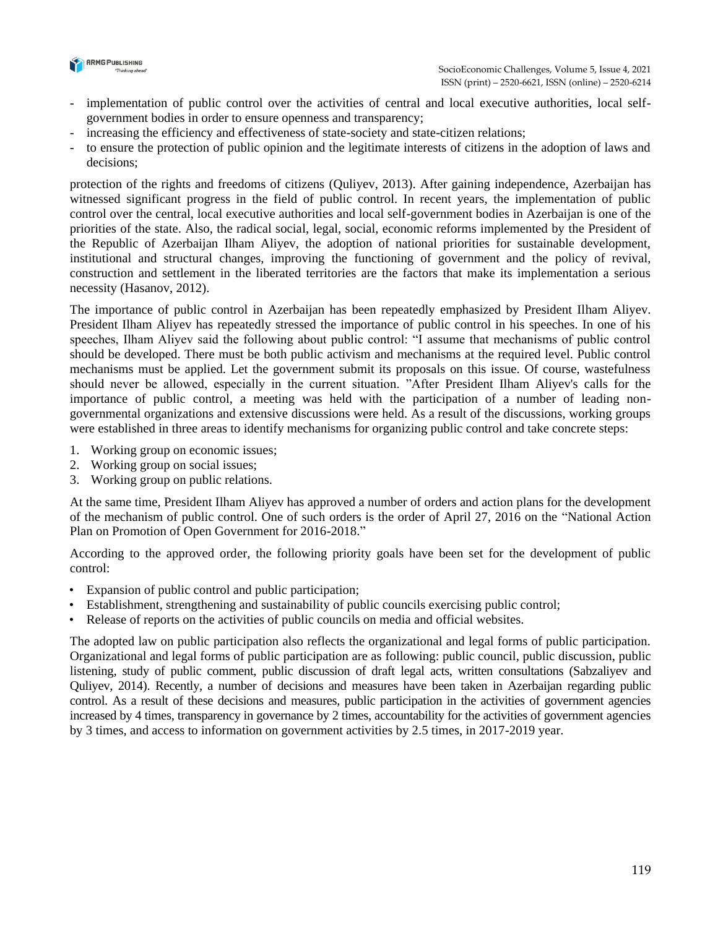

- implementation of public control over the activities of central and local executive authorities, local selfgovernment bodies in order to ensure openness and transparency;
- increasing the efficiency and effectiveness of state-society and state-citizen relations;
- to ensure the protection of public opinion and the legitimate interests of citizens in the adoption of laws and decisions;

protection of the rights and freedoms of citizens (Quliyev, 2013). After gaining independence, Azerbaijan has witnessed significant progress in the field of public control. In recent years, the implementation of public control over the central, local executive authorities and local self-government bodies in Azerbaijan is one of the priorities of the state. Also, the radical social, legal, social, economic reforms implemented by the President of the Republic of Azerbaijan Ilham Aliyev, the adoption of national priorities for sustainable development, institutional and structural changes, improving the functioning of government and the policy of revival, construction and settlement in the liberated territories are the factors that make its implementation a serious necessity (Hasanov, 2012).

The importance of public control in Azerbaijan has been repeatedly emphasized by President Ilham Aliyev. President Ilham Aliyev has repeatedly stressed the importance of public control in his speeches. In one of his speeches, Ilham Aliyev said the following about public control: "I assume that mechanisms of public control should be developed. There must be both public activism and mechanisms at the required level. Public control mechanisms must be applied. Let the government submit its proposals on this issue. Of course, wastefulness should never be allowed, especially in the current situation. "After President Ilham Aliyev's calls for the importance of public control, a meeting was held with the participation of a number of leading nongovernmental organizations and extensive discussions were held. As a result of the discussions, working groups were established in three areas to identify mechanisms for organizing public control and take concrete steps:

- 1. Working group on economic issues;
- 2. Working group on social issues;
- 3. Working group on public relations.

At the same time, President Ilham Aliyev has approved a number of orders and action plans for the development of the mechanism of public control. One of such orders is the order of April 27, 2016 on the "National Action Plan on Promotion of Open Government for 2016-2018."

According to the approved order, the following priority goals have been set for the development of public control:

- Expansion of public control and public participation;
- Establishment, strengthening and sustainability of public councils exercising public control;
- Release of reports on the activities of public councils on media and official websites.

The adopted law on public participation also reflects the organizational and legal forms of public participation. Organizational and legal forms of public participation are as following: public council, public discussion, public listening, study of public comment, public discussion of draft legal acts, written consultations (Sabzaliyev and Quliyev, 2014). Recently, a number of decisions and measures have been taken in Azerbaijan regarding public control. As a result of these decisions and measures, public participation in the activities of government agencies increased by 4 times, transparency in governance by 2 times, accountability for the activities of government agencies by 3 times, and access to information on government activities by 2.5 times, in 2017-2019 year.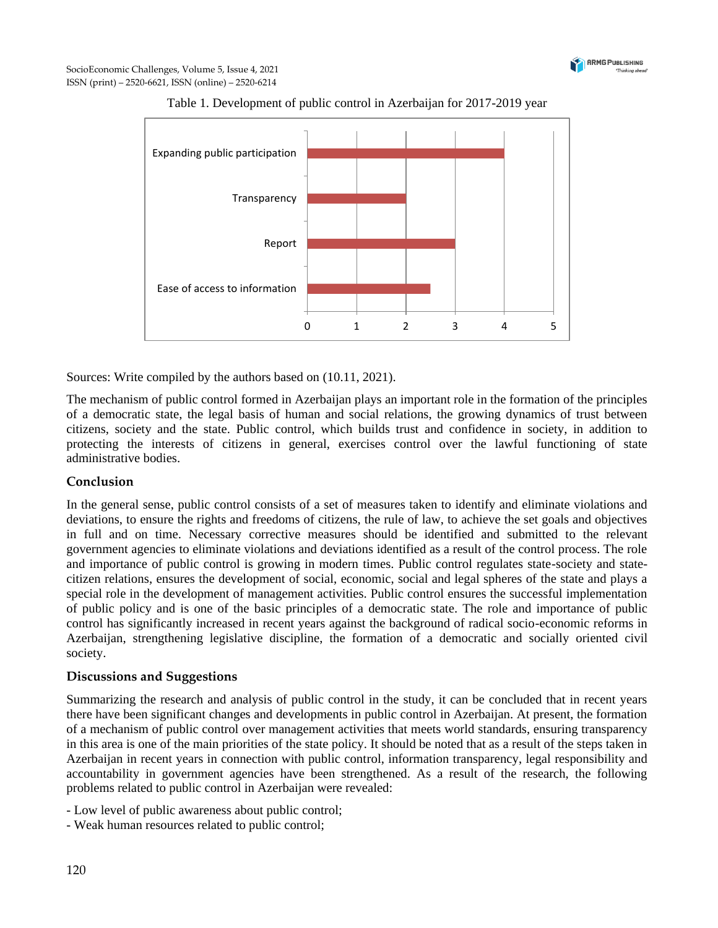



Table 1. Development of public control in Azerbaijan for 2017-2019 year

Sources: Write compiled by the authors based on (10.11, 2021).

The mechanism of public control formed in Azerbaijan plays an important role in the formation of the principles of a democratic state, the legal basis of human and social relations, the growing dynamics of trust between citizens, society and the state. Public control, which builds trust and confidence in society, in addition to protecting the interests of citizens in general, exercises control over the lawful functioning of state administrative bodies.

# **Conclusion**

In the general sense, public control consists of a set of measures taken to identify and eliminate violations and deviations, to ensure the rights and freedoms of citizens, the rule of law, to achieve the set goals and objectives in full and on time. Necessary corrective measures should be identified and submitted to the relevant government agencies to eliminate violations and deviations identified as a result of the control process. The role and importance of public control is growing in modern times. Public control regulates state-society and statecitizen relations, ensures the development of social, economic, social and legal spheres of the state and plays a special role in the development of management activities. Public control ensures the successful implementation of public policy and is one of the basic principles of a democratic state. The role and importance of public control has significantly increased in recent years against the background of radical socio-economic reforms in Azerbaijan, strengthening legislative discipline, the formation of a democratic and socially oriented civil society.

#### **Discussions and Suggestions**

Summarizing the research and analysis of public control in the study, it can be concluded that in recent years there have been significant changes and developments in public control in Azerbaijan. At present, the formation of a mechanism of public control over management activities that meets world standards, ensuring transparency in this area is one of the main priorities of the state policy. It should be noted that as a result of the steps taken in Azerbaijan in recent years in connection with public control, information transparency, legal responsibility and accountability in government agencies have been strengthened. As a result of the research, the following problems related to public control in Azerbaijan were revealed:

- Low level of public awareness about public control;
- Weak human resources related to public control;